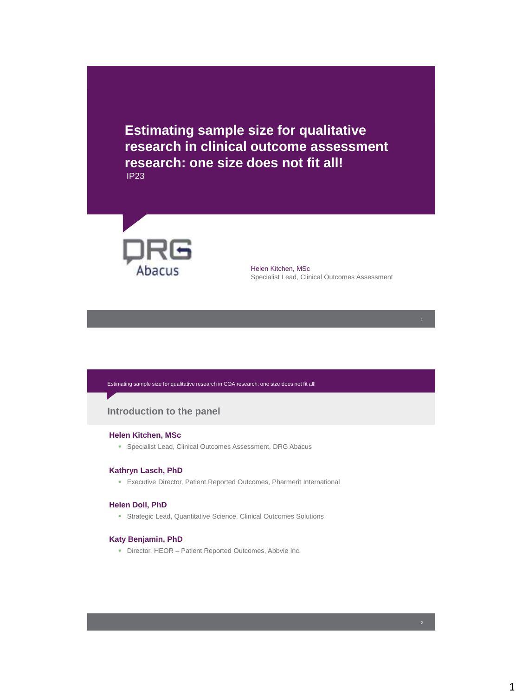IP23 **Estimating sample size for qualitative research in clinical outcome assessment research: one size does not fit all!** 



Helen Kitchen, MSc Specialist Lead, Clinical Outcomes Assessment

Estimating sample size for qualitative research in COA research: one size does not fit all!

## **Introduction to the panel**

### **Helen Kitchen, MSc**

Specialist Lead, Clinical Outcomes Assessment, DRG Abacus

### **Kathryn Lasch, PhD**

Executive Director, Patient Reported Outcomes, Pharmerit International

### **Helen Doll, PhD**

Strategic Lead, Quantitative Science, Clinical Outcomes Solutions

### **Katy Benjamin, PhD**

Director, HEOR – Patient Reported Outcomes, Abbvie Inc.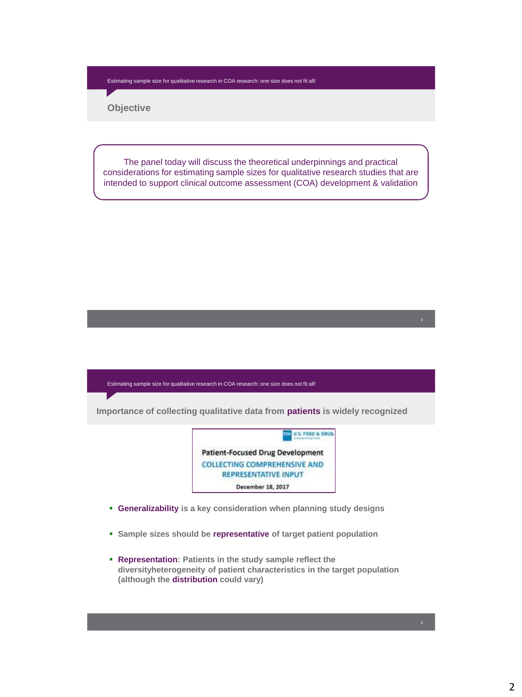Estimating sample size for qualitative research in COA research: one size does not fit all!

**Objective**

The panel today will discuss the theoretical underpinnings and practical considerations for estimating sample sizes for qualitative research studies that are intended to support clinical outcome assessment (COA) development & validation

Estimating sample size for qualitative research in COA research: one size does not fit all! **Importance of collecting qualitative data from patients is widely recognized**ISA U.S. FOOD & DRUG **Patient-Focused Drug Development COLLECTING COMPREHENSIVE AND REPRESENTATIVE INPUT** December 18, 2017 **Generalizability is a key consideration when planning study designs**

- **Sample sizes should be representative of target patient population**
- **Representation: Patients in the study sample reflect the diversityheterogeneity of patient characteristics in the target population (although the distribution could vary)**

4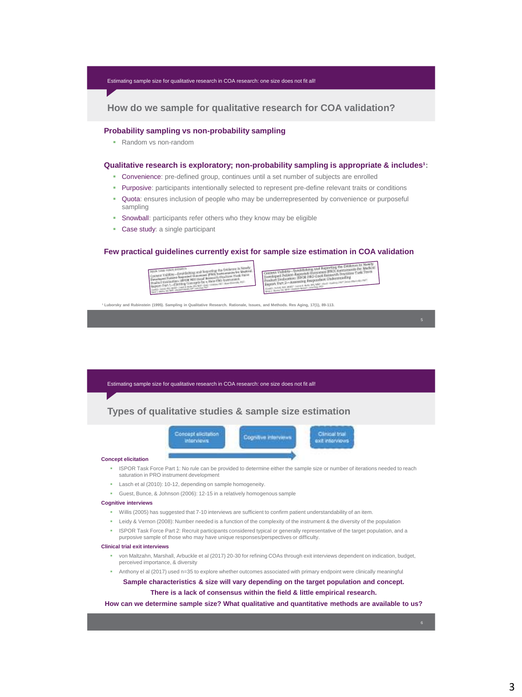## **How do we sample for qualitative research for COA validation?**

#### **Probability sampling vs non-probability sampling**

**Random vs non-random** 

#### Qualitative research is exploratory; non-probability sampling is appropriate & includes<sup>1</sup>:

- Convenience: pre-defined group, continues until a set number of subjects are enrolled
- **Purposive:** participants intentionally selected to represent pre-define relevant traits or conditions
- **Quota:** ensures inclusion of people who may be underrepresented by convenience or purposeful sampling
- **Snowball:** participants refer others who they know may be eligible
- **Case study:** a single participant

### **Few practical guidelines currently exist for sample size estimation in COA validation**



**¹ Luborsky and Rubinstein (1995). Sampling in Qualitative Research. Rationale, Issues, and Methods. Res Aging, 17(1), 89-113.** 

#### Estimating sample size for qualitative research in COA research: one size does not fit all!

**Types of qualitative studies & sample size estimation**



#### **Concept elicitation**

- ISPOR Task Force Part 1: No rule can be provided to determine either the sample size or number of iterations needed to reach saturation in PRO instrument development
- **Lasch et al (2010): 10-12, depending on sample homogeneity.**
- Guest, Bunce, & Johnson (2006): 12-15 in a relatively homogenous sample

#### **Cognitive interviews**

- Willis (2005) has suggested that 7-10 interviews are sufficient to confirm patient understandability of an item.
- Leidy & Vernon (2008): Number needed is a function of the complexity of the instrument & the diversity of the population
- ISPOR Task Force Part 2: Recruit participants considered typical or generally representative of the target population, and a
- purposive sample of those who may have unique responses/perspectives or difficulty.

#### **Clinical trial exit interviews**

- von Maltzahn, Marshall, Arbuckle et al (2017) 20-30 for refining COAs through exit interviews dependent on indication, budget, perceived importance, & diversity
- Anthony el al (2017) used n=35 to explore whether outcomes associated with primary endpoint were clinically meaningful

**Sample characteristics & size will vary depending on the target population and concept. There is a lack of consensus within the field & little empirical research.**

**How can we determine sample size? What qualitative and quantitative methods are available to us?**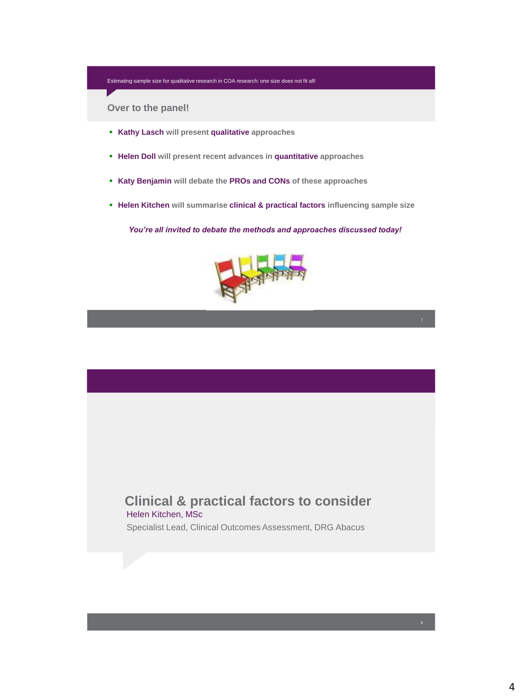**Over to the panel!**

- **Kathy Lasch will present qualitative approaches**
- **Helen Doll will present recent advances in quantitative approaches**
- **Katy Benjamin will debate the PROs and CONs of these approaches**
- **Helen Kitchen will summarise clinical & practical factors influencing sample size**

*You're all invited to debate the methods and approaches discussed today!*



# **Clinical & practical factors to consider** Helen Kitchen, MSc

Specialist Lead, Clinical Outcomes Assessment, DRG Abacus